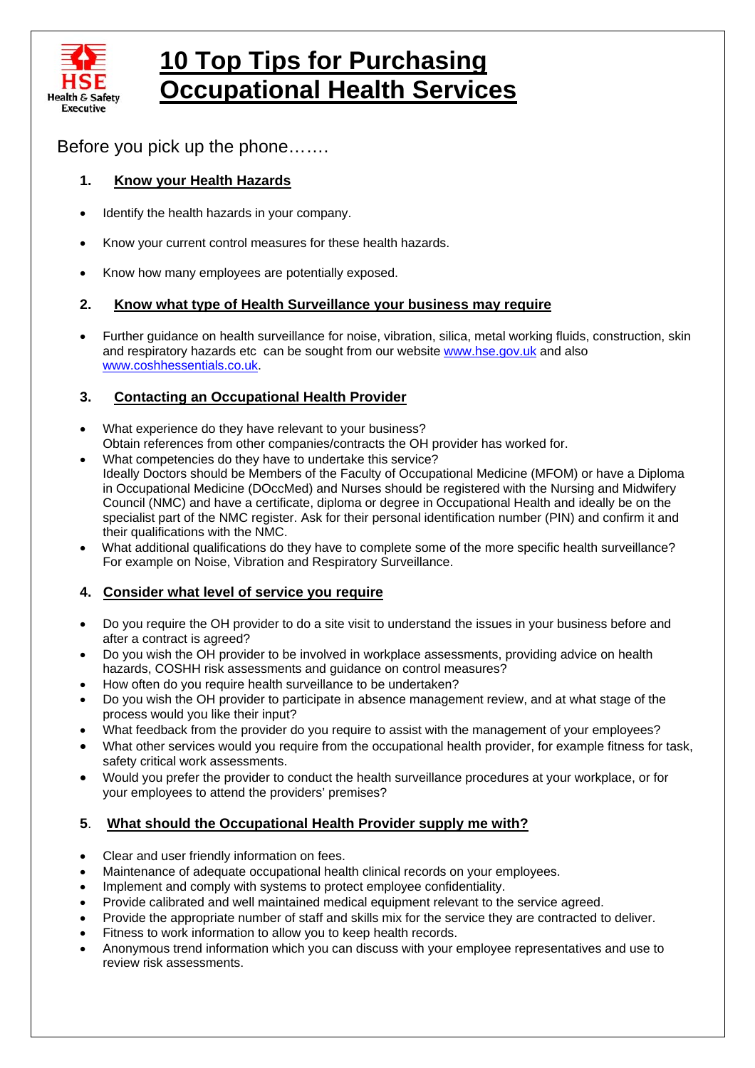

# **10 Top Tips for Purchasing Occupational Health Services**

Before you pick up the phone…….

# **1. Know your Health Hazards**

- Identify the health hazards in your company.
- Know your current control measures for these health hazards.
- Know how many employees are potentially exposed.

# **2. Know what type of Health Surveillance your business may require**

• Further guidance on health surveillance for noise, vibration, silica, metal working fluids, construction, skin and respiratory hazards etc can be sought from our website [www.hse.gov.uk](http://www.hse.gov.uk/) and also [www.coshhessentials.co.uk](http://www.coshhessentials.co.uk/).

# **3. Contacting an Occupational Health Provider**

- What experience do they have relevant to your business? Obtain references from other companies/contracts the OH provider has worked for.
- What competencies do they have to undertake this service? Ideally Doctors should be Members of the Faculty of Occupational Medicine (MFOM) or have a Diploma in Occupational Medicine (DOccMed) and Nurses should be registered with the Nursing and Midwifery Council (NMC) and have a certificate, diploma or degree in Occupational Health and ideally be on the specialist part of the NMC register. Ask for their personal identification number (PIN) and confirm it and their qualifications with the NMC.
- What additional qualifications do they have to complete some of the more specific health surveillance? For example on Noise, Vibration and Respiratory Surveillance.

# **4. Consider what level of service you require**

- Do you require the OH provider to do a site visit to understand the issues in your business before and after a contract is agreed?
- Do you wish the OH provider to be involved in workplace assessments, providing advice on health hazards, COSHH risk assessments and guidance on control measures?
- How often do you require health surveillance to be undertaken?
- Do you wish the OH provider to participate in absence management review, and at what stage of the process would you like their input?
- What feedback from the provider do you require to assist with the management of your employees?
- What other services would you require from the occupational health provider, for example fitness for task, safety critical work assessments.
- Would you prefer the provider to conduct the health surveillance procedures at your workplace, or for your employees to attend the providers' premises?

# **5**. **What should the Occupational Health Provider supply me with?**

- Clear and user friendly information on fees.
- Maintenance of adequate occupational health clinical records on your employees.
- Implement and comply with systems to protect employee confidentiality.
- Provide calibrated and well maintained medical equipment relevant to the service agreed.
- Provide the appropriate number of staff and skills mix for the service they are contracted to deliver.
- Fitness to work information to allow you to keep health records.
- Anonymous trend information which you can discuss with your employee representatives and use to review risk assessments.